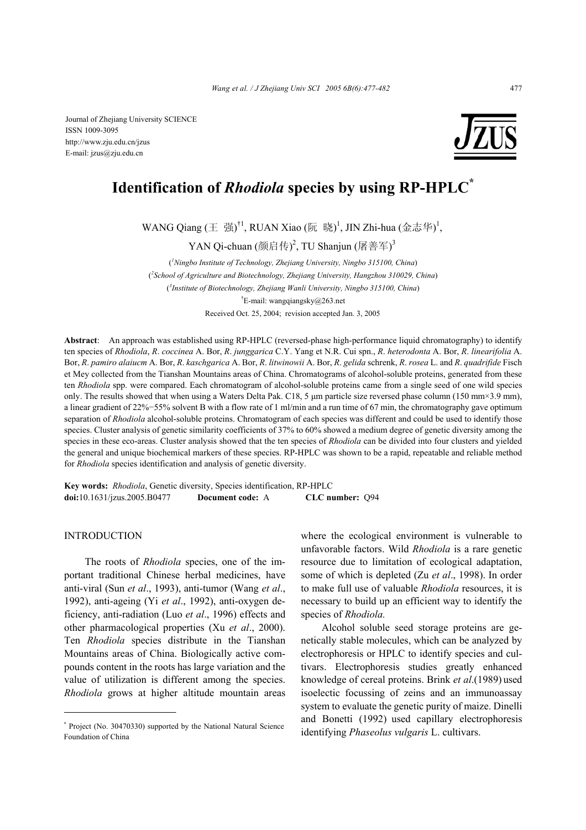E-mail: jzus@zju.edu.cn

# **Identification of** *Rhodiola* **species by using RP-HPLC\***

WANG Qiang (王 强)<sup>†1</sup>, RUAN Xiao (阮 晓)<sup>1</sup>, JIN Zhi-hua (金志华)<sup>1</sup>,

YAN Qi-chuan (颜启传)<sup>2</sup>, TU Shanjun (屠善军)<sup>3</sup>

( *1 Ningbo Institute of Technology, Zhejiang University, Ningbo 315100, China*) ( *2 School of Agriculture and Biotechnology, Zhejiang University, Hangzhou 310029, China*) ( *3 Institute of Biotechnology, Zhejiang Wanli University, Ningbo 315100, China*) † E-mail: wangqiangsky@263.net Received Oct. 25, 2004; revision accepted Jan. 3, 2005

**Abstract**: An approach was established using RP-HPLC (reversed-phase high-performance liquid chromatography) to identify ten species of *Rhodiola*, *R*. *coccinea* A. Bor, *R*. *junggarica* C.Y. Yang et N.R. Cui spn., *R*. *heterodonta* A. Bor, *R*. *linearifolia* A. Bor, *R*. *pamiro alaiucm* A. Bor, *R*. *kaschgarica* A. Bor, *R*. *litwinowii* A. Bor, *R*. *gelida* schrenk, *R*. *rosea* L. and *R*. *quadrifide* Fisch et Mey collected from the Tianshan Mountains areas of China. Chromatograms of alcohol-soluble proteins, generated from these ten *Rhodiola* spp. were compared. Each chromatogram of alcohol-soluble proteins came from a single seed of one wild species only. The results showed that when using a Waters Delta Pak. C18, 5  $\mu$ m particle size reversed phase column (150 mm×3.9 mm), a linear gradient of 22%−55% solvent B with a flow rate of 1 ml/min and a run time of 67 min, the chromatography gave optimum separation of *Rhodiola* alcohol-soluble proteins. Chromatogram of each species was different and could be used to identify those species. Cluster analysis of genetic similarity coefficients of 37% to 60% showed a medium degree of genetic diversity among the species in these eco-areas. Cluster analysis showed that the ten species of *Rhodiola* can be divided into four clusters and yielded the general and unique biochemical markers of these species. RP-HPLC was shown to be a rapid, repeatable and reliable method for *Rhodiola* species identification and analysis of genetic diversity.

**Key words:** *Rhodiola*, Genetic diversity, Species identification, RP-HPLC **doi:**10.1631/jzus.2005.B0477 **Document code:** A **CLC number:** Q94

# INTRODUCTION

The roots of *Rhodiola* species, one of the important traditional Chinese herbal medicines, have anti-viral (Sun *et al*., 1993), anti-tumor (Wang *et al*., 1992), anti-ageing (Yi *et al*., 1992), anti-oxygen deficiency, anti-radiation (Luo *et al*., 1996) effects and other pharmacological properties (Xu *et al*., 2000). Ten *Rhodiola* species distribute in the Tianshan Mountains areas of China. Biologically active compounds content in the roots has large variation and the value of utilization is different among the species. *Rhodiola* grows at higher altitude mountain areas

where the ecological environment is vulnerable to unfavorable factors. Wild *Rhodiola* is a rare genetic resource due to limitation of ecological adaptation, some of which is depleted (Zu *et al*., 1998). In order to make full use of valuable *Rhodiola* resources, it is necessary to build up an efficient way to identify the species of *Rhodiola.*

Alcohol soluble seed storage proteins are genetically stable molecules, which can be analyzed by electrophoresis or HPLC to identify species and cultivars. Electrophoresis studies greatly enhanced knowledge of cereal proteins. Brink *et al*.(1989) used isoelectic focussing of zeins and an immunoassay system to evaluate the genetic purity of maize. Dinelli and Bonetti (1992) used capillary electrophoresis identifying *Phaseolus vulgaris* L. cultivars.

<sup>\*</sup> Project (No. 30470330) supported by the National Natural Science Foundation of China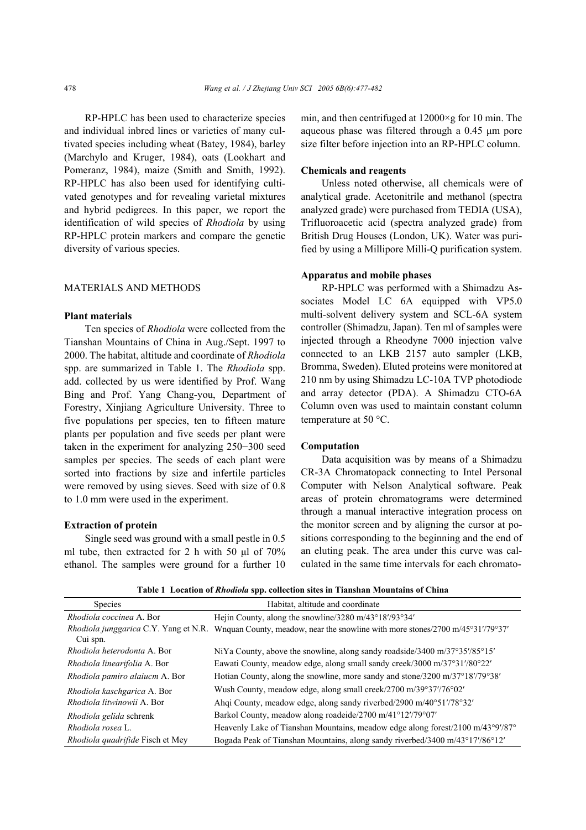RP-HPLC has been used to characterize species and individual inbred lines or varieties of many cultivated species including wheat (Batey, 1984), barley (Marchylo and Kruger, 1984), oats (Lookhart and Pomeranz, 1984), maize (Smith and Smith, 1992). RP-HPLC has also been used for identifying cultivated genotypes and for revealing varietal mixtures and hybrid pedigrees. In this paper, we report the identification of wild species of *Rhodiola* by using RP-HPLC protein markers and compare the genetic diversity of various species.

# MATERIALS AND METHODS

# **Plant materials**

Ten species of *Rhodiola* were collected from the Tianshan Mountains of China in Aug./Sept. 1997 to 2000. The habitat, altitude and coordinate of *Rhodiola*  spp. are summarized in Table 1. The *Rhodiola* spp. add. collected by us were identified by Prof. Wang Bing and Prof. Yang Chang-you, Department of Forestry, Xinjiang Agriculture University. Three to five populations per species, ten to fifteen mature plants per population and five seeds per plant were taken in the experiment for analyzing 250−300 seed samples per species. The seeds of each plant were sorted into fractions by size and infertile particles were removed by using sieves. Seed with size of 0.8 to 1.0 mm were used in the experiment.

# **Extraction of protein**

Single seed was ground with a small pestle in 0.5 ml tube, then extracted for 2 h with 50 µl of 70% ethanol. The samples were ground for a further 10 min, and then centrifuged at  $12000 \times g$  for 10 min. The aqueous phase was filtered through a 0.45 µm pore size filter before injection into an RP-HPLC column.

# **Chemicals and reagents**

Unless noted otherwise, all chemicals were of analytical grade. Acetonitrile and methanol (spectra analyzed grade) were purchased from TEDIA (USA), Trifluoroacetic acid (spectra analyzed grade) from British Drug Houses (London, UK). Water was purified by using a Millipore Milli-Q purification system.

# **Apparatus and mobile phases**

RP-HPLC was performed with a Shimadzu Associates Model LC 6A equipped with VP5.0 multi-solvent delivery system and SCL-6A system controller (Shimadzu, Japan). Ten ml of samples were injected through a Rheodyne 7000 injection valve connected to an LKB 2157 auto sampler (LKB, Bromma, Sweden). Eluted proteins were monitored at 210 nm by using Shimadzu LC-10A TVP photodiode and array detector (PDA). A Shimadzu CTO-6A Column oven was used to maintain constant column temperature at 50 °C.

# **Computation**

Data acquisition was by means of a Shimadzu CR-3A Chromatopack connecting to Intel Personal Computer with Nelson Analytical software. Peak areas of protein chromatograms were determined through a manual interactive integration process on the monitor screen and by aligning the cursor at positions corresponding to the beginning and the end of an eluting peak. The area under this curve was calculated in the same time intervals for each chromato-

|  | Table 1 Location of Rhodiola spp. collection sites in Tianshan Mountains of China |  |  |  |
|--|-----------------------------------------------------------------------------------|--|--|--|
|--|-----------------------------------------------------------------------------------|--|--|--|

| <b>Species</b>                                    | Habitat, altitude and coordinate                                                               |  |  |  |  |
|---------------------------------------------------|------------------------------------------------------------------------------------------------|--|--|--|--|
| <i>Rhodiola coccinea</i> A. Bor                   | Hejin County, along the snowline/3280 m/43°18'/93°34'                                          |  |  |  |  |
| Rhodiola junggarica C.Y. Yang et N.R.<br>Cui spn. | Wnquan County, meadow, near the snowline with more stones/2700 m/45°31'/79°37'                 |  |  |  |  |
| Rhodiola heterodonta A. Bor                       | NiYa County, above the snowline, along sandy roadside/3400 m/37 $\degree$ 35'/85 $\degree$ 15' |  |  |  |  |
| Rhodiola linearifolia A. Bor                      | Eawati County, meadow edge, along small sandy creek/3000 m/37°31′/80°22′                       |  |  |  |  |
| Rhodiola pamiro alaiucm A. Bor                    | Hotian County, along the snowline, more sandy and stone/3200 m/37°18'/79°38'                   |  |  |  |  |
| Rhodiola kaschgarica A. Bor                       | Wush County, meadow edge, along small creek/2700 m/39°37'/76°02'                               |  |  |  |  |
| Rhodiola litwinowii A. Bor                        | Ahqi County, meadow edge, along sandy riverbed/2900 m/40°51'/78°32'                            |  |  |  |  |
| Rhodiola gelida schrenk                           | Barkol County, meadow along roadeide/2700 m/41°12'/79°07'                                      |  |  |  |  |
| Rhodiola rosea L.                                 | Heavenly Lake of Tianshan Mountains, meadow edge along forest/2100 m/43°9'/87°                 |  |  |  |  |
| <i>Rhodiola quadrifide</i> Fisch et Mey           | Bogada Peak of Tianshan Mountains, along sandy riverbed/3400 m/43°17'/86°12'                   |  |  |  |  |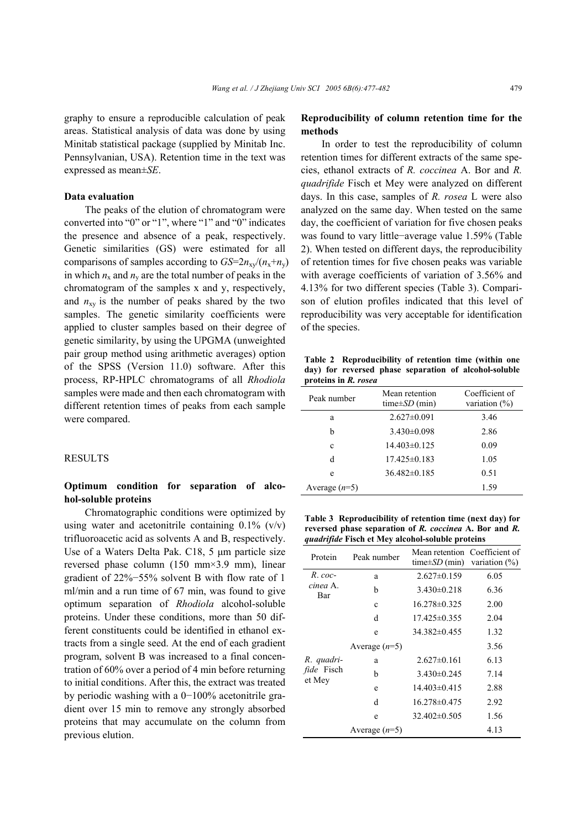### **Data evaluation**

expressed as mean±*SE*.

The peaks of the elution of chromatogram were converted into "0" or "1", where "1" and "0" indicates the presence and absence of a peak, respectively. Genetic similarities (GS) were estimated for all comparisons of samples according to  $GS=2n_{xy}/(n_x+n_y)$ in which  $n_x$  and  $n_y$  are the total number of peaks in the chromatogram of the samples x and y, respectively, and  $n_{xy}$  is the number of peaks shared by the two samples. The genetic similarity coefficients were applied to cluster samples based on their degree of genetic similarity, by using the UPGMA (unweighted pair group method using arithmetic averages) option of the SPSS (Version 11.0) software. After this process, RP-HPLC chromatograms of all *Rhodiola* samples were made and then each chromatogram with different retention times of peaks from each sample were compared.

Pennsylvanian, USA). Retention time in the text was

# RESULTS

# **Optimum condition for separation of alcohol-soluble proteins**

Chromatographic conditions were optimized by using water and acetonitrile containing  $0.1\%$  (v/v) trifluoroacetic acid as solvents A and B, respectively. Use of a Waters Delta Pak. C18, 5 µm particle size reversed phase column (150 mm×3.9 mm), linear gradient of 22%−55% solvent B with flow rate of 1 ml/min and a run time of 67 min, was found to give optimum separation of *Rhodiola* alcohol-soluble proteins. Under these conditions, more than 50 different constituents could be identified in ethanol extracts from a single seed. At the end of each gradient program, solvent B was increased to a final concentration of 60% over a period of 4 min before returning to initial conditions. After this, the extract was treated by periodic washing with a 0−100% acetonitrile gradient over 15 min to remove any strongly absorbed proteins that may accumulate on the column from previous elution.

# **Reproducibility of column retention time for the methods**

In order to test the reproducibility of column retention times for different extracts of the same species, ethanol extracts of *R. coccinea* A. Bor and *R. quadrifide* Fisch et Mey were analyzed on different days. In this case, samples of *R. rosea* L were also analyzed on the same day. When tested on the same day, the coefficient of variation for five chosen peaks was found to vary little−average value 1.59% (Table 2). When tested on different days, the reproducibility of retention times for five chosen peaks was variable with average coefficients of variation of 3.56% and 4.13% for two different species (Table 3). Comparison of elution profiles indicated that this level of reproducibility was very acceptable for identification of the species.

**Table 2 Reproducibility of retention time (within one day) for reversed phase separation of alcohol-soluble proteins in** *R. rosea*

| Peak number     | Mean retention<br>time $\pm SD$ (min) | Coefficient of<br>variation $(\%)$ |  |  |
|-----------------|---------------------------------------|------------------------------------|--|--|
| a               | $2.627 \pm 0.091$                     | 3.46                               |  |  |
| h               | $3.430\pm0.098$                       | 2.86                               |  |  |
| c               | $14.403\pm0.125$                      | 0.09                               |  |  |
| d               | $17.425 \pm 0.183$                    | 1.05                               |  |  |
| e               | $36.482\pm0.185$                      | 0.51                               |  |  |
| Average $(n=5)$ |                                       | 1.59                               |  |  |

**Table 3 Reproducibility of retention time (next day) for reversed phase separation of** *R. coccinea* **A. Bor and** *R. quadrifide* **Fisch et Mey alcohol-soluble proteins** 

| Protein                     | Peak number     | Mean retention Coefficient of<br>time $\pm SD$ (min) variation $\frac{6}{6}$ ) |      |
|-----------------------------|-----------------|--------------------------------------------------------------------------------|------|
| $R.$ coc-                   | a               | $2.627 \pm 0.159$                                                              | 6.05 |
| cinea A.<br>Bar             | b               | $3.430\pm0.218$                                                                | 6.36 |
|                             | $\mathbf c$     | $16.278\pm0.325$                                                               | 2.00 |
|                             | d               | $17.425 \pm 0.355$                                                             | 2.04 |
|                             | e               | $34.382\pm0.455$                                                               | 1.32 |
|                             | Average $(n=5)$ |                                                                                | 3.56 |
| R. quadri-                  | a               | $2.627 \pm 0.161$                                                              | 6.13 |
| <i>fide</i> Fisch<br>et Mey | b               | $3.430\pm0.245$                                                                | 7.14 |
|                             | e               | $14.403\pm0.415$                                                               | 2.88 |
|                             | d               | $16.278 \pm 0.475$                                                             | 2.92 |
|                             | e               | $32.402\pm0.505$                                                               | 1.56 |
|                             | Average $(n=5)$ |                                                                                | 4.13 |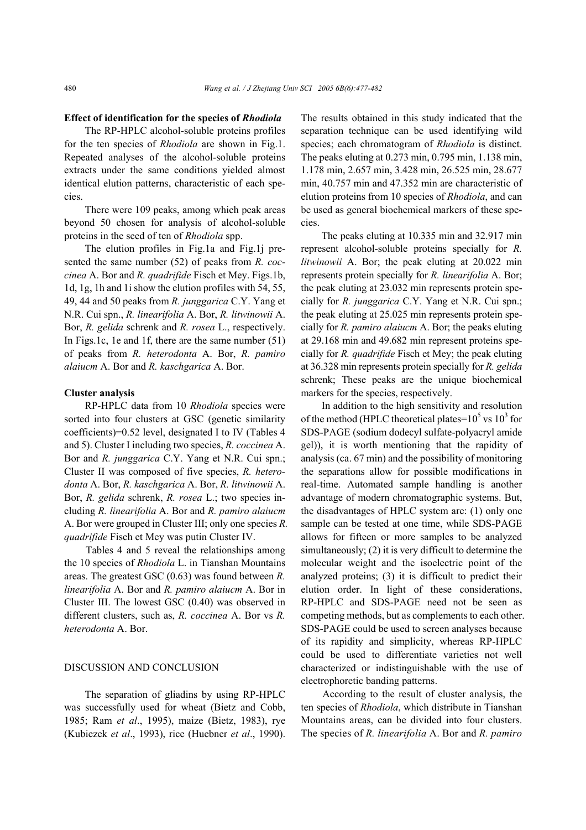### **Effect of identification for the species of** *Rhodiola*

The RP-HPLC alcohol-soluble proteins profiles for the ten species of *Rhodiola* are shown in Fig.1. Repeated analyses of the alcohol-soluble proteins extracts under the same conditions yielded almost identical elution patterns, characteristic of each species.

There were 109 peaks, among which peak areas beyond 50 chosen for analysis of alcohol-soluble proteins in the seed of ten of *Rhodiola* spp.

The elution profiles in Fig.1a and Fig.1j presented the same number (52) of peaks from *R. coccinea* A. Bor and *R. quadrifide* Fisch et Mey. Figs.1b, 1d, 1g, 1h and 1i show the elution profiles with 54, 55, 49, 44 and 50 peaks from *R. junggarica* C.Y. Yang et N.R. Cui spn., *R. linearifolia* A. Bor, *R. litwinowii* A. Bor, *R. gelida* schrenk and *R. rosea* L., respectively. In Figs.1c, 1e and 1f, there are the same number (51) of peaks from *R. heterodonta* A. Bor, *R. pamiro alaiucm* A. Bor and *R. kaschgarica* A. Bor.

# **Cluster analysis**

RP-HPLC data from 10 *Rhodiola* species were sorted into four clusters at GSC (genetic similarity coefficients)=0.52 level, designated I to IV (Tables 4 and 5). Cluster I including two species, *R. coccinea* A. Bor and *R. junggarica* C.Y. Yang et N.R. Cui spn.; Cluster II was composed of five species, *R. heterodonta* A. Bor, *R. kaschgarica* A. Bor, *R. litwinowii* A. Bor, *R. gelida* schrenk, *R. rosea* L.; two species including *R. linearifolia* A. Bor and *R. pamiro alaiucm*  A. Bor were grouped in Cluster III; only one species *R. quadrifide* Fisch et Mey was putin Cluster IV.

Tables 4 and 5 reveal the relationships among the 10 species of *Rhodiola* L. in Tianshan Mountains areas. The greatest GSC (0.63) was found between *R. linearifolia* A. Bor and *R. pamiro alaiucm* A. Bor in Cluster III. The lowest GSC (0.40) was observed in different clusters, such as, *R. coccinea* A. Bor vs *R. heterodonta* A. Bor.

# DISCUSSION AND CONCLUSION

The separation of gliadins by using RP-HPLC was successfully used for wheat (Bietz and Cobb, 1985; Ram *et al*., 1995), maize (Bietz, 1983), rye (Kubiezek *et al*., 1993), rice (Huebner *et al*., 1990). The results obtained in this study indicated that the separation technique can be used identifying wild species; each chromatogram of *Rhodiola* is distinct. The peaks eluting at 0.273 min, 0.795 min, 1.138 min, 1.178 min, 2.657 min, 3.428 min, 26.525 min, 28.677 min, 40.757 min and 47.352 min are characteristic of elution proteins from 10 species of *Rhodiola*, and can be used as general biochemical markers of these species.

The peaks eluting at 10.335 min and 32.917 min represent alcohol-soluble proteins specially for *R. litwinowii* A. Bor; the peak eluting at 20.022 min represents protein specially for *R. linearifolia* A. Bor; the peak eluting at 23.032 min represents protein specially for *R. junggarica* C.Y. Yang et N.R. Cui spn.; the peak eluting at 25.025 min represents protein specially for *R. pamiro alaiucm* A. Bor; the peaks eluting at 29.168 min and 49.682 min represent proteins specially for *R. quadrifide* Fisch et Mey; the peak eluting at 36.328 min represents protein specially for *R. gelida*  schrenk; These peaks are the unique biochemical markers for the species, respectively.

In addition to the high sensitivity and resolution of the method (HPLC theoretical plates= $10^5$  vs  $10^3$  for SDS-PAGE (sodium dodecyl sulfate-polyacryl amide gel)), it is worth mentioning that the rapidity of analysis (ca. 67 min) and the possibility of monitoring the separations allow for possible modifications in real-time. Automated sample handling is another advantage of modern chromatographic systems. But, the disadvantages of HPLC system are: (1) only one sample can be tested at one time, while SDS-PAGE allows for fifteen or more samples to be analyzed simultaneously; (2) it is very difficult to determine the molecular weight and the isoelectric point of the analyzed proteins; (3) it is difficult to predict their elution order. In light of these considerations, RP-HPLC and SDS-PAGE need not be seen as competing methods, but as complements to each other. SDS-PAGE could be used to screen analyses because of its rapidity and simplicity, whereas RP-HPLC could be used to differentiate varieties not well characterized or indistinguishable with the use of electrophoretic banding patterns.

According to the result of cluster analysis, the ten species of *Rhodiola*, which distribute in Tianshan Mountains areas, can be divided into four clusters. The species of *R. linearifolia* A. Bor and *R. pamiro*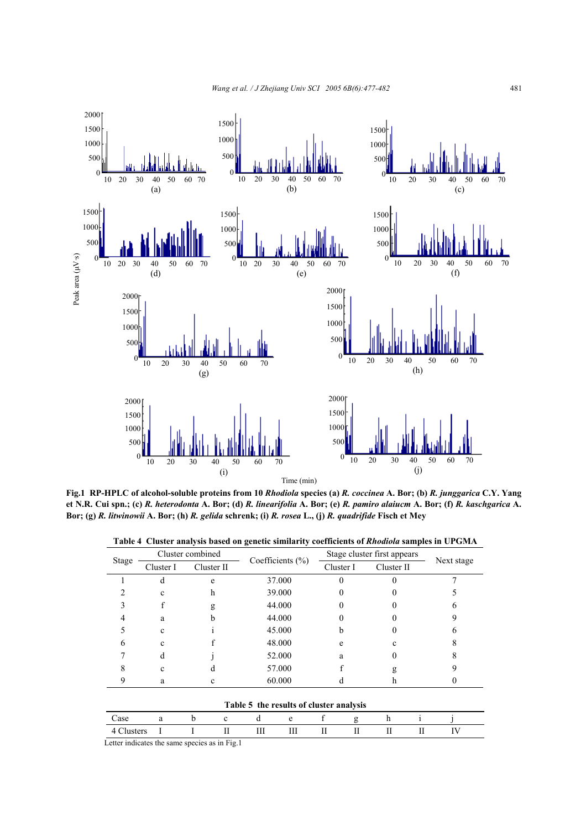

**Fig.1 RP-HPLC of alcohol-soluble proteins from 10** *Rhodiola* **species (a)** *R. coccinea* **A. Bor; (b)** *R. junggarica* **C.Y. Yang et N.R. Cui spn.; (c)** *R. heterodonta* **A. Bor; (d)** *R. linearifolia* **A. Bor; (e)** *R. pamiro alaiucm* **A. Bor; (f)** *R. kaschgarica* **A. Bor; (g)** *R. litwinowii* **A. Bor; (h)** *R. gelida* **schrenk; (i)** *R. rosea* **L., (j)** *R. quadrifide* **Fisch et Mey**

**Table 4 Cluster analysis based on genetic similarity coefficients of** *Rhodiola* **samples in UPGMA** 

| Stage                   | Cluster combined |            | Coefficients $(\% )$                    | Stage cluster first appears |            |            |
|-------------------------|------------------|------------|-----------------------------------------|-----------------------------|------------|------------|
|                         | Cluster I        | Cluster II |                                         | Cluster I                   | Cluster II | Next stage |
|                         | d                | e          | 37.000                                  | 0                           |            |            |
|                         | c                | h          | 39.000                                  |                             |            |            |
|                         |                  | g          | 44.000                                  | $_{0}$                      |            | 6          |
|                         | a                | n          | 44.000                                  |                             |            |            |
|                         | $\mathbf{c}$     |            | 45,000                                  | b                           |            |            |
| 6                       | C                |            | 48.000                                  | e                           |            |            |
|                         | d                |            | 52.000                                  | a                           |            |            |
|                         | с                | а          | 57.000                                  |                             | g          |            |
| 9                       | a                | с          | 60.000                                  | d                           | h          |            |
|                         |                  |            |                                         |                             |            |            |
|                         |                  |            | Table 5 the results of cluster analysis |                             |            |            |
| $\Gamma$ <sub>---</sub> |                  | $1-$<br>-- | $\mathbf{J}$                            | $\mathbf{r}$<br>$\sim$      | 1.         |            |

| 000 |  |                                                                                                                                                                                                                                                                 |        |        |         |                                                |   |  |
|-----|--|-----------------------------------------------------------------------------------------------------------------------------------------------------------------------------------------------------------------------------------------------------------------|--------|--------|---------|------------------------------------------------|---|--|
|     |  | <br><b><i><u>Property Contract Contract Contract Contract Contract Contract Contract Contract Contract Contract Contract Contract Contract Contract Contract Contract Contract Contract Contract Contract Contract Contract Contract Con</u></i></b><br><br>--- | --<br> | <br>-- | <br>. . | <b>Service</b><br><br>$\overline{\phantom{a}}$ | - |  |

Letter indicates the same species as in Fig.1